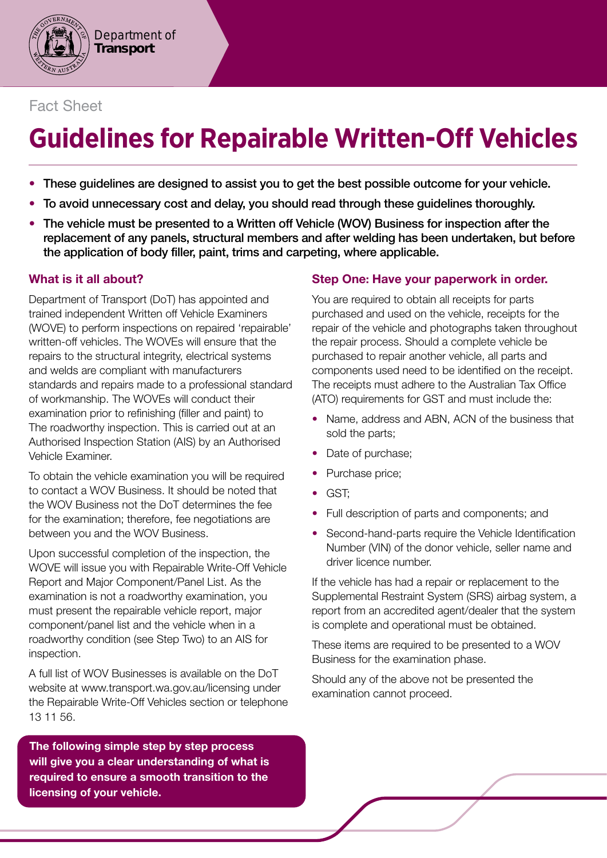

## Fact Sheet

# **Guidelines for Repairable Written-Off Vehicles**

- These guidelines are designed to assist you to get the best possible outcome for your vehicle.
- To avoid unnecessary cost and delay, you should read through these guidelines thoroughly.
- The vehicle must be presented to a Written off Vehicle (WOV) Business for inspection after the replacement of any panels, structural members and after welding has been undertaken, but before the application of body filler, paint, trims and carpeting, where applicable.

## What is it all about?

Department of Transport (DoT) has appointed and trained independent Written off Vehicle Examiners (WOVE) to perform inspections on repaired 'repairable' written-off vehicles. The WOVEs will ensure that the repairs to the structural integrity, electrical systems and welds are compliant with manufacturers standards and repairs made to a professional standard of workmanship. The WOVEs will conduct their examination prior to refinishing (filler and paint) to The roadworthy inspection. This is carried out at an Authorised Inspection Station (AIS) by an Authorised Vehicle Examiner.

To obtain the vehicle examination you will be required to contact a WOV Business. It should be noted that the WOV Business not the DoT determines the fee for the examination; therefore, fee negotiations are between you and the WOV Business.

Upon successful completion of the inspection, the WOVE will issue you with Repairable Write-Off Vehicle Report and Major Component/Panel List. As the examination is not a roadworthy examination, you must present the repairable vehicle report, major component/panel list and the vehicle when in a roadworthy condition (see Step Two) to an AIS for inspection.

A full list of WOV Businesses is available on the DoT website at <www.transport.wa.gov.au/licensing> under the Repairable Write-Off Vehicles section or telephone 13 11 56.

The following simple step by step process will give you a clear understanding of what is required to ensure a smooth transition to the licensing of your vehicle.

### Step One: Have your paperwork in order.

You are required to obtain all receipts for parts purchased and used on the vehicle, receipts for the repair of the vehicle and photographs taken throughout the repair process. Should a complete vehicle be purchased to repair another vehicle, all parts and components used need to be identifed on the receipt. The receipts must adhere to the Australian Tax Office (ATO) requirements for GST and must include the:

- Name, address and ABN, ACN of the business that sold the parts;
- Date of purchase:
- Purchase price;
- GST;
- Full description of parts and components; and
- Second-hand-parts require the Vehicle Identification Number (VIN) of the donor vehicle, seller name and driver licence number.

If the vehicle has had a repair or replacement to the Supplemental Restraint System (SRS) airbag system, a report from an accredited agent/dealer that the system is complete and operational must be obtained.

These items are required to be presented to a WOV Business for the examination phase.

Should any of the above not be presented the examination cannot proceed.